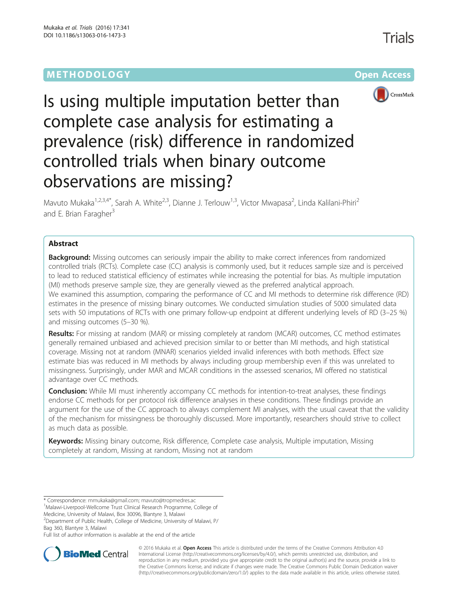# **METHODOLOGY CONSUMING ACCESS CONSUMING ACCESS**



Is using multiple imputation better than complete case analysis for estimating a prevalence (risk) difference in randomized controlled trials when binary outcome observations are missing?

Mavuto Mukaka<sup>1,2,3,4\*</sup>, Sarah A. White<sup>2,3</sup>, Dianne J. Terlouw<sup>1,3</sup>, Victor Mwapasa<sup>2</sup>, Linda Kalilani-Phiri<sup>2</sup> and E. Brian Faragher<sup>3</sup>

# Abstract

**Background:** Missing outcomes can seriously impair the ability to make correct inferences from randomized controlled trials (RCTs). Complete case (CC) analysis is commonly used, but it reduces sample size and is perceived to lead to reduced statistical efficiency of estimates while increasing the potential for bias. As multiple imputation (MI) methods preserve sample size, they are generally viewed as the preferred analytical approach. We examined this assumption, comparing the performance of CC and MI methods to determine risk difference (RD) estimates in the presence of missing binary outcomes. We conducted simulation studies of 5000 simulated data sets with 50 imputations of RCTs with one primary follow-up endpoint at different underlying levels of RD (3–25 %) and missing outcomes (5–30 %).

Results: For missing at random (MAR) or missing completely at random (MCAR) outcomes, CC method estimates generally remained unbiased and achieved precision similar to or better than MI methods, and high statistical coverage. Missing not at random (MNAR) scenarios yielded invalid inferences with both methods. Effect size estimate bias was reduced in MI methods by always including group membership even if this was unrelated to missingness. Surprisingly, under MAR and MCAR conditions in the assessed scenarios, MI offered no statistical advantage over CC methods.

**Conclusion:** While MI must inherently accompany CC methods for intention-to-treat analyses, these findings endorse CC methods for per protocol risk difference analyses in these conditions. These findings provide an argument for the use of the CC approach to always complement MI analyses, with the usual caveat that the validity of the mechanism for missingness be thoroughly discussed. More importantly, researchers should strive to collect as much data as possible.

Keywords: Missing binary outcome, Risk difference, Complete case analysis, Multiple imputation, Missing completely at random, Missing at random, Missing not at random

<sup>1</sup>Malawi-Liverpool-Wellcome Trust Clinical Research Programme, College of Medicine, University of Malawi, Box 30096, Blantyre 3, Malawi

<sup>2</sup> Department of Public Health, College of Medicine, University of Malawi, P/ Bag 360, Blantyre 3, Malawi

Full list of author information is available at the end of the article



© 2016 Mukaka et al. Open Access This article is distributed under the terms of the Creative Commons Attribution 4.0 International License [\(http://creativecommons.org/licenses/by/4.0/](http://creativecommons.org/licenses/by/4.0/)), which permits unrestricted use, distribution, and reproduction in any medium, provided you give appropriate credit to the original author(s) and the source, provide a link to the Creative Commons license, and indicate if changes were made. The Creative Commons Public Domain Dedication waiver [\(http://creativecommons.org/publicdomain/zero/1.0/](http://creativecommons.org/publicdomain/zero/1.0/)) applies to the data made available in this article, unless otherwise stated.

<sup>\*</sup> Correspondence: [mmukaka@gmail.com](mailto:mmukaka@gmail.com); [mavuto@tropmedres.ac](mailto:mavuto@tropmedres.ac) <sup>1</sup>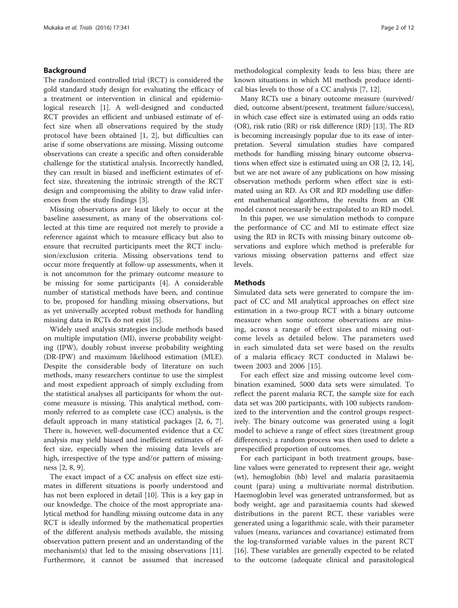## Background

The randomized controlled trial (RCT) is considered the gold standard study design for evaluating the efficacy of a treatment or intervention in clinical and epidemiological research [[1](#page-10-0)]. A well-designed and conducted RCT provides an efficient and unbiased estimate of effect size when all observations required by the study protocol have been obtained [\[1](#page-10-0), [2\]](#page-10-0), but difficulties can arise if some observations are missing. Missing outcome observations can create a specific and often considerable challenge for the statistical analysis. Incorrectly handled, they can result in biased and inefficient estimates of effect size, threatening the intrinsic strength of the RCT design and compromising the ability to draw valid inferences from the study findings [\[3\]](#page-10-0).

Missing observations are least likely to occur at the baseline assessment, as many of the observations collected at this time are required not merely to provide a reference against which to measure efficacy but also to ensure that recruited participants meet the RCT inclusion/exclusion criteria. Missing observations tend to occur more frequently at follow-up assessments, when it is not uncommon for the primary outcome measure to be missing for some participants [[4\]](#page-10-0). A considerable number of statistical methods have been, and continue to be, proposed for handling missing observations, but as yet universally accepted robust methods for handling missing data in RCTs do not exist [[5\]](#page-10-0).

Widely used analysis strategies include methods based on multiple imputation (MI), inverse probability weighting (IPW), doubly robust inverse probability weighting (DR-IPW) and maximum likelihood estimation (MLE). Despite the considerable body of literature on such methods, many researchers continue to use the simplest and most expedient approach of simply excluding from the statistical analyses all participants for whom the outcome measure is missing. This analytical method, commonly referred to as complete case (CC) analysis, is the default approach in many statistical packages [\[2](#page-10-0), [6, 7](#page-10-0)]. There is, however, well-documented evidence that a CC analysis may yield biased and inefficient estimates of effect size, especially when the missing data levels are high, irrespective of the type and/or pattern of missingness [\[2](#page-10-0), [8](#page-11-0), [9](#page-11-0)].

The exact impact of a CC analysis on effect size estimates in different situations is poorly understood and has not been explored in detail [\[10](#page-11-0)]. This is a key gap in our knowledge. The choice of the most appropriate analytical method for handling missing outcome data in any RCT is ideally informed by the mathematical properties of the different analysis methods available, the missing observation pattern present and an understanding of the mechanism(s) that led to the missing observations [\[11](#page-11-0)]. Furthermore, it cannot be assumed that increased

methodological complexity leads to less bias; there are known situations in which MI methods produce identical bias levels to those of a CC analysis [[7,](#page-10-0) [12\]](#page-11-0).

Many RCTs use a binary outcome measure (survived/ died, outcome absent/present, treatment failure/success), in which case effect size is estimated using an odds ratio (OR), risk ratio (RR) or risk difference (RD) [\[13\]](#page-11-0). The RD is becoming increasingly popular due to its ease of interpretation. Several simulation studies have compared methods for handling missing binary outcome observations when effect size is estimated using an OR [[2](#page-10-0), [12, 14](#page-11-0)], but we are not aware of any publications on how missing observation methods perform when effect size is estimated using an RD. As OR and RD modelling use different mathematical algorithms, the results from an OR model cannot necessarily be extrapolated to an RD model.

In this paper, we use simulation methods to compare the performance of CC and MI to estimate effect size using the RD in RCTs with missing binary outcome observations and explore which method is preferable for various missing observation patterns and effect size levels.

#### **Methods**

Simulated data sets were generated to compare the impact of CC and MI analytical approaches on effect size estimation in a two-group RCT with a binary outcome measure when some outcome observations are missing, across a range of effect sizes and missing outcome levels as detailed below. The parameters used in each simulated data set were based on the results of a malaria efficacy RCT conducted in Malawi between 2003 and 2006 [[15\]](#page-11-0).

For each effect size and missing outcome level combination examined, 5000 data sets were simulated. To reflect the parent malaria RCT, the sample size for each data set was 200 participants, with 100 subjects randomized to the intervention and the control groups respectively. The binary outcome was generated using a logit model to achieve a range of effect sizes (treatment group differences); a random process was then used to delete a prespecified proportion of outcomes.

For each participant in both treatment groups, baseline values were generated to represent their age, weight (wt), hemoglobin (hb) level and malaria parasitaemia count (para) using a multivariate normal distribution. Haemoglobin level was generated untransformed, but as body weight, age and parasitaemia counts had skewed distributions in the parent RCT, these variables were generated using a logarithmic scale, with their parameter values (means, variances and covariance) estimated from the log-transformed variable values in the parent RCT [[16\]](#page-11-0). These variables are generally expected to be related to the outcome (adequate clinical and parasitological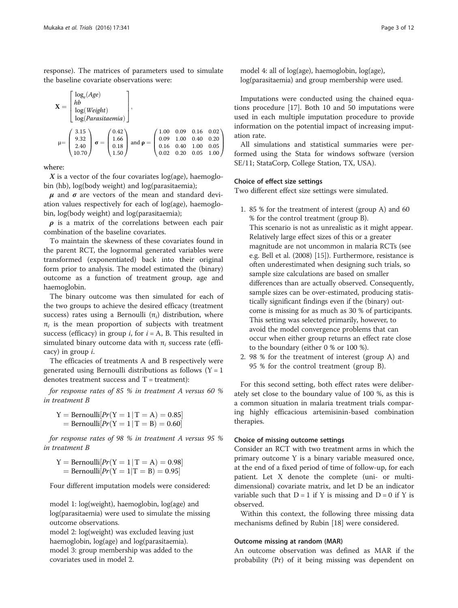response). The matrices of parameters used to simulate the baseline covariate observations were:

$$
\mathbf{X} = \begin{bmatrix} \log_e(Age) \\ hb \\ \log(Weight) \\ \log(Parasitaemia) \end{bmatrix}, \\ \mu = \begin{pmatrix} 3.15 \\ 9.32 \\ 2.40 \\ 10.70 \end{pmatrix} \sigma = \begin{pmatrix} 0.42 \\ 1.66 \\ 0.18 \\ 1.50 \end{pmatrix} \text{ and } \boldsymbol{\rho} = \begin{pmatrix} 1.00 & 0.09 & 0.16 & 0.02 \\ 0.09 & 1.00 & 0.40 & 0.20 \\ 0.16 & 0.40 & 1.00 & 0.05 \\ 0.02 & 0.20 & 0.05 & 1.00 \end{pmatrix}
$$

where:

 $X$  is a vector of the four covariates log(age), haemoglobin (hb), log(body weight) and log(parasitaemia);

 $\mu$  and  $\sigma$  are vectors of the mean and standard deviation values respectively for each of log(age), haemoglobin, log(body weight) and log(parasitaemia);

 $\rho$  is a matrix of the correlations between each pair combination of the baseline covariates.

To maintain the skewness of these covariates found in the parent RCT, the lognormal generated variables were transformed (exponentiated) back into their original form prior to analysis. The model estimated the (binary) outcome as a function of treatment group, age and haemoglobin.

The binary outcome was then simulated for each of the two groups to achieve the desired efficacy (treatment success) rates using a Bernoulli  $(\pi_i)$  distribution, where  $\pi$ <sub>i</sub> is the mean proportion of subjects with treatment success (efficacy) in group *i*, for  $i = A$ , B. This resulted in simulated binary outcome data with  $\pi_i$  success rate (efficacy) in group i.

The efficacies of treatments A and B respectively were generated using Bernoulli distributions as follows  $(Y = 1$ denotes treatment success and  $T = treatment$ :

for response rates of 85 % in treatment A versus 60 %

Y = Bernoulli
$$
[Pr(Y = 1 | T = A) = 0.85]
$$
  
= Bernoulli $[Pr(Y = 1 | T = B) = 0.60]$ 

for response rates of 98 % in treatment A versus 95 %

 $Y = \text{Bernoulli}[Pr(Y = 1 | T = A) = 0.98]$  - Bernoulli $Pr(Y = 1 | T = B) = 0.95$  $=$  Bernoulli $[Pr(Y = 1|T = B) = 0.95]$ 

Four different imputation models were considered:

model 1: log(weight), haemoglobin, log(age) and log(parasitaemia) were used to simulate the missing outcome observations.

model 2: log(weight) was excluded leaving just haemoglobin, log(age) and log(parasitaemia). model 3: group membership was added to the covariates used in model 2.

model 4: all of log(age), haemoglobin, log(age), log(parasitaemia) and group membership were used.

Imputations were conducted using the chained equations procedure [\[17](#page-11-0)]. Both 10 and 50 imputations were used in each multiple imputation procedure to provide information on the potential impact of increasing imputation rate.

All simulations and statistical summaries were performed using the Stata for windows software (version SE/11; StataCorp, College Station, TX, USA).

#### Choice of effect size settings

Two different effect size settings were simulated.

- 1. 85 % for the treatment of interest (group A) and 60 % for the control treatment (group B). This scenario is not as unrealistic as it might appear. Relatively large effect sizes of this or a greater magnitude are not uncommon in malaria RCTs (see e.g. Bell et al. (2008) [\[15\]](#page-11-0)). Furthermore, resistance is often underestimated when designing such trials, so sample size calculations are based on smaller differences than are actually observed. Consequently, sample sizes can be over-estimated, producing statistically significant findings even if the (binary) outcome is missing for as much as 30 % of participants. This setting was selected primarily, however, to avoid the model convergence problems that can occur when either group returns an effect rate close to the boundary (either 0 % or 100 %).
- 2. 98 % for the treatment of interest (group A) and 95 % for the control treatment (group B).

For this second setting, both effect rates were deliberately set close to the boundary value of 100 %, as this is a common situation in malaria treatment trials comparing highly efficacious artemisinin-based combination therapies.

#### Choice of missing outcome settings

Consider an RCT with two treatment arms in which the primary outcome Y is a binary variable measured once, at the end of a fixed period of time of follow-up, for each patient. Let X denote the complete (uni- or multidimensional) covariate matrix, and let D be an indicator variable such that  $D = 1$  if Y is missing and  $D = 0$  if Y is observed.

Within this context, the following three missing data mechanisms defined by Rubin [\[18\]](#page-11-0) were considered.

## Outcome missing at random (MAR)

An outcome observation was defined as MAR if the probability (Pr) of it being missing was dependent on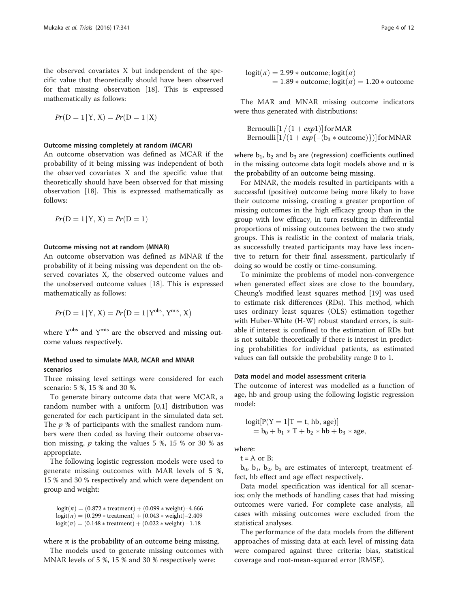the observed covariates X but independent of the specific value that theoretically should have been observed for that missing observation [[18\]](#page-11-0). This is expressed mathematically as follows:

$$
Pr(D = 1 | Y, X) = Pr(D = 1 | X)
$$

#### Outcome missing completely at random (MCAR)

An outcome observation was defined as MCAR if the probability of it being missing was independent of both the observed covariates X and the specific value that theoretically should have been observed for that missing observation [[18\]](#page-11-0). This is expressed mathematically as follows:

$$
Pr(D = 1 | Y, X) = Pr(D = 1)
$$

#### Outcome missing not at random (MNAR)

An outcome observation was defined as MNAR if the probability of it being missing was dependent on the observed covariates X, the observed outcome values and the unobserved outcome values [\[18\]](#page-11-0). This is expressed mathematically as follows:

$$
\text{Pr}(D=1\,|\,Y,\,X)=\text{Pr}\big(D=1\,|\,Y^{obs},\,Y^{mis},\,X\big)
$$

where  $Y^{obs}$  and  $Y^{mis}$  are the observed and missing outcome values respectively.

## Method used to simulate MAR, MCAR and MNAR scenarios

Three missing level settings were considered for each scenario: 5 %, 15 % and 30 %.

To generate binary outcome data that were MCAR, a random number with a uniform [0,1] distribution was generated for each participant in the simulated data set. The  $p$  % of participants with the smallest random numbers were then coded as having their outcome observation missing,  $p$  taking the values 5 %, 15 % or 30 % as appropriate.

The following logistic regression models were used to generate missing outcomes with MAR levels of 5 %, 15 % and 30 % respectively and which were dependent on group and weight:

| $logit(\pi) = (0.872 * treatment) + (0.099 * weight) - 4.666$ |
|---------------------------------------------------------------|
| $logit(\pi) = (0.299 * treatment) + (0.043 * weight) - 2.409$ |
| $logit(\pi) = (0.148 * treatment) + (0.022 * weight) - 1.18$  |
|                                                               |

#### where  $\pi$  is the probability of an outcome being missing.

The models used to generate missing outcomes with MNAR levels of 5 %, 15 % and 30 % respectively were:

$$
logit(\pi) = 2.99 * outcome; logit(\pi)
$$
  
= 1.89 \* outcome; logit( $\pi$ ) = 1.20 \* outcome

The MAR and MNAR missing outcome indicators were thus generated with distributions:

Bernoulli 
$$
[1/(1 + exp1)]
$$
 for MAR  
Bernoulli  $[1/(1 + exp{-b_3 * outcome})]$  for MNAR

where  $b_1$ ,  $b_2$  and  $b_3$  are (regression) coefficients outlined in the missing outcome data logit models above and π is the probability of an outcome being missing.

For MNAR, the models resulted in participants with a successful (positive) outcome being more likely to have their outcome missing, creating a greater proportion of missing outcomes in the high efficacy group than in the group with low efficacy, in turn resulting in differential proportions of missing outcomes between the two study groups. This is realistic in the context of malaria trials, as successfully treated participants may have less incentive to return for their final assessment, particularly if doing so would be costly or time-consuming.

To minimize the problems of model non-convergence when generated effect sizes are close to the boundary, Cheung's modified least squares method [\[19\]](#page-11-0) was used to estimate risk differences (RDs). This method, which uses ordinary least squares (OLS) estimation together with Huber-White (H-W) robust standard errors, is suitable if interest is confined to the estimation of RDs but is not suitable theoretically if there is interest in predicting probabilities for individual patients, as estimated values can fall outside the probability range 0 to 1.

#### Data model and model assessment criteria

The outcome of interest was modelled as a function of age, hb and group using the following logistic regression model:

$$
logit[P(Y = 1|T = t, hb, age)]
$$
  
= b<sub>0</sub> + b<sub>1</sub> \* T + b<sub>2</sub> \* hb + b<sub>3</sub> \* age,

where:

 $t = A$  or  $B$ ;

 $b_0$ ,  $b_1$ ,  $b_2$ ,  $b_3$  are estimates of intercept, treatment effect, hb effect and age effect respectively.

Data model specification was identical for all scenarios; only the methods of handling cases that had missing outcomes were varied. For complete case analysis, all cases with missing outcomes were excluded from the statistical analyses.

The performance of the data models from the different approaches of missing data at each level of missing data were compared against three criteria: bias, statistical coverage and root-mean-squared error (RMSE).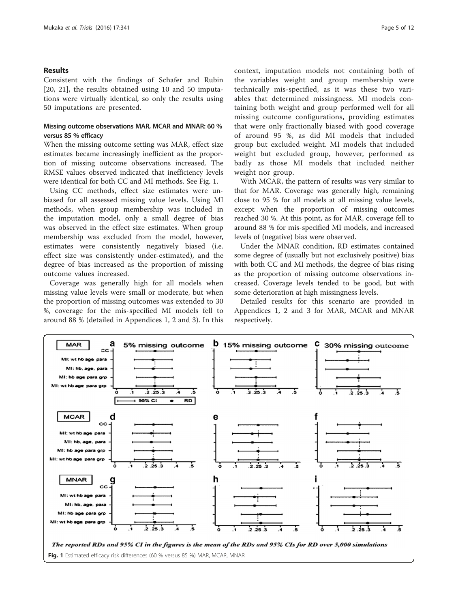#### Results

Consistent with the findings of Schafer and Rubin [[20, 21](#page-11-0)], the results obtained using 10 and 50 imputations were virtually identical, so only the results using 50 imputations are presented.

## Missing outcome observations MAR, MCAR and MNAR: 60 % versus 85 % efficacy

When the missing outcome setting was MAR, effect size estimates became increasingly inefficient as the proportion of missing outcome observations increased. The RMSE values observed indicated that inefficiency levels were identical for both CC and MI methods. See Fig. 1.

Using CC methods, effect size estimates were unbiased for all assessed missing value levels. Using MI methods, when group membership was included in the imputation model, only a small degree of bias was observed in the effect size estimates. When group membership was excluded from the model, however, estimates were consistently negatively biased (i.e. effect size was consistently under-estimated), and the degree of bias increased as the proportion of missing outcome values increased.

Coverage was generally high for all models when missing value levels were small or moderate, but when the proportion of missing outcomes was extended to 30 %, coverage for the mis-specified MI models fell to around 88 % (detailed in Appendices [1,](#page-7-0) [2](#page-8-0) and [3](#page-8-0)). In this context, imputation models not containing both of the variables weight and group membership were technically mis-specified, as it was these two variables that determined missingness. MI models containing both weight and group performed well for all missing outcome configurations, providing estimates that were only fractionally biased with good coverage of around 95 %, as did MI models that included group but excluded weight. MI models that included weight but excluded group, however, performed as badly as those MI models that included neither weight nor group.

With MCAR, the pattern of results was very similar to that for MAR. Coverage was generally high, remaining close to 95 % for all models at all missing value levels, except when the proportion of missing outcomes reached 30 %. At this point, as for MAR, coverage fell to around 88 % for mis-specified MI models, and increased levels of (negative) bias were observed.

Under the MNAR condition, RD estimates contained some degree of (usually but not exclusively positive) bias with both CC and MI methods, the degree of bias rising as the proportion of missing outcome observations increased. Coverage levels tended to be good, but with some deterioration at high missingness levels.

Detailed results for this scenario are provided in Appendices [1](#page-7-0), [2](#page-8-0) and [3](#page-8-0) for MAR, MCAR and MNAR respectively.

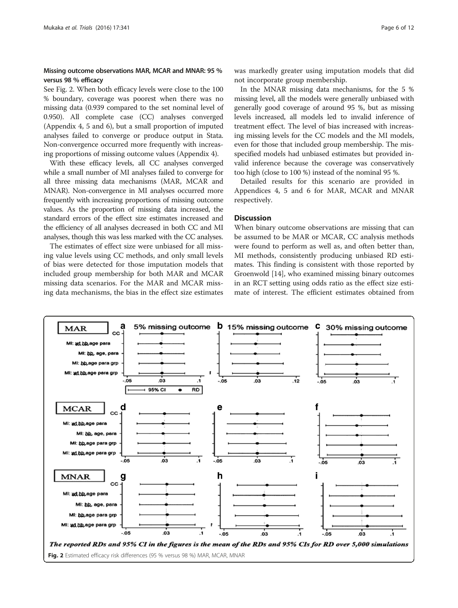## Missing outcome observations MAR, MCAR and MNAR: 95 % versus 98 % efficacy

See Fig. 2. When both efficacy levels were close to the 100 % boundary, coverage was poorest when there was no missing data (0.939 compared to the set nominal level of 0.950). All complete case (CC) analyses converged (Appendix [4, 5](#page-9-0) and [6\)](#page-10-0), but a small proportion of imputed analyses failed to converge or produce output in Stata. Non-convergence occurred more frequently with increasing proportions of missing outcome values (Appendix [4](#page-9-0)).

With these efficacy levels, all CC analyses converged while a small number of MI analyses failed to converge for all three missing data mechanisms (MAR, MCAR and MNAR). Non-convergence in MI analyses occurred more frequently with increasing proportions of missing outcome values. As the proportion of missing data increased, the standard errors of the effect size estimates increased and the efficiency of all analyses decreased in both CC and MI analyses, though this was less marked with the CC analyses.

The estimates of effect size were unbiased for all missing value levels using CC methods, and only small levels of bias were detected for those imputation models that included group membership for both MAR and MCAR missing data scenarios. For the MAR and MCAR missing data mechanisms, the bias in the effect size estimates was markedly greater using imputation models that did not incorporate group membership.

In the MNAR missing data mechanisms, for the 5 % missing level, all the models were generally unbiased with generally good coverage of around 95 %, but as missing levels increased, all models led to invalid inference of treatment effect. The level of bias increased with increasing missing levels for the CC models and the MI models, even for those that included group membership. The misspecified models had unbiased estimates but provided invalid inference because the coverage was conservatively too high (close to 100 %) instead of the nominal 95 %.

Detailed results for this scenario are provided in Appendices [4](#page-9-0), [5](#page-9-0) and [6](#page-10-0) for MAR, MCAR and MNAR respectively.

## **Discussion**

When binary outcome observations are missing that can be assumed to be MAR or MCAR, CC analysis methods were found to perform as well as, and often better than, MI methods, consistently producing unbiased RD estimates. This finding is consistent with those reported by Groenwold [\[14](#page-11-0)], who examined missing binary outcomes in an RCT setting using odds ratio as the effect size estimate of interest. The efficient estimates obtained from

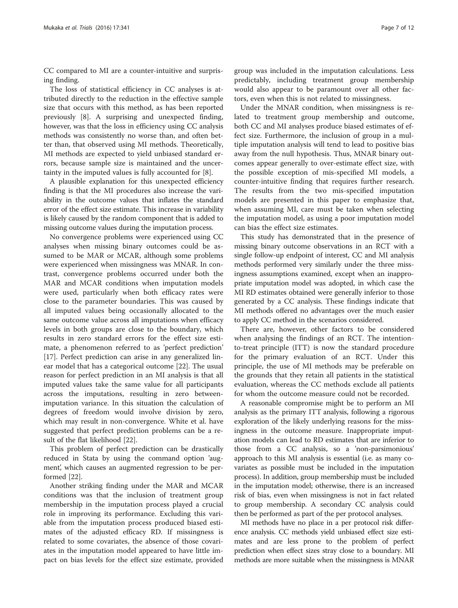CC compared to MI are a counter-intuitive and surprising finding.

The loss of statistical efficiency in CC analyses is attributed directly to the reduction in the effective sample size that occurs with this method, as has been reported previously [[8\]](#page-11-0). A surprising and unexpected finding, however, was that the loss in efficiency using CC analysis methods was consistently no worse than, and often better than, that observed using MI methods. Theoretically, MI methods are expected to yield unbiased standard errors, because sample size is maintained and the uncertainty in the imputed values is fully accounted for [[8\]](#page-11-0).

A plausible explanation for this unexpected efficiency finding is that the MI procedures also increase the variability in the outcome values that inflates the standard error of the effect size estimate. This increase in variability is likely caused by the random component that is added to missing outcome values during the imputation process.

No convergence problems were experienced using CC analyses when missing binary outcomes could be assumed to be MAR or MCAR, although some problems were experienced when missingness was MNAR. In contrast, convergence problems occurred under both the MAR and MCAR conditions when imputation models were used, particularly when both efficacy rates were close to the parameter boundaries. This was caused by all imputed values being occasionally allocated to the same outcome value across all imputations when efficacy levels in both groups are close to the boundary, which results in zero standard errors for the effect size estimate, a phenomenon referred to as 'perfect prediction' [[17\]](#page-11-0). Perfect prediction can arise in any generalized linear model that has a categorical outcome [[22\]](#page-11-0). The usual reason for perfect prediction in an MI analysis is that all imputed values take the same value for all participants across the imputations, resulting in zero betweenimputation variance. In this situation the calculation of degrees of freedom would involve division by zero, which may result in non-convergence. White et al. have suggested that perfect prediction problems can be a result of the flat likelihood [[22](#page-11-0)].

This problem of perfect prediction can be drastically reduced in Stata by using the command option 'augment', which causes an augmented regression to be performed [\[22](#page-11-0)].

Another striking finding under the MAR and MCAR conditions was that the inclusion of treatment group membership in the imputation process played a crucial role in improving its performance. Excluding this variable from the imputation process produced biased estimates of the adjusted efficacy RD. If missingness is related to some covariates, the absence of those covariates in the imputation model appeared to have little impact on bias levels for the effect size estimate, provided

group was included in the imputation calculations. Less predictably, including treatment group membership would also appear to be paramount over all other factors, even when this is not related to missingness.

Under the MNAR condition, when missingness is related to treatment group membership and outcome, both CC and MI analyses produce biased estimates of effect size. Furthermore, the inclusion of group in a multiple imputation analysis will tend to lead to positive bias away from the null hypothesis. Thus, MNAR binary outcomes appear generally to over-estimate effect size, with the possible exception of mis-specified MI models, a counter-intuitive finding that requires further research. The results from the two mis-specified imputation models are presented in this paper to emphasize that, when assuming MI, care must be taken when selecting the imputation model, as using a poor imputation model can bias the effect size estimates.

This study has demonstrated that in the presence of missing binary outcome observations in an RCT with a single follow-up endpoint of interest, CC and MI analysis methods performed very similarly under the three missingness assumptions examined, except when an inappropriate imputation model was adopted, in which case the MI RD estimates obtained were generally inferior to those generated by a CC analysis. These findings indicate that MI methods offered no advantages over the much easier to apply CC method in the scenarios considered.

There are, however, other factors to be considered when analysing the findings of an RCT. The intentionto-treat principle (ITT) is now the standard procedure for the primary evaluation of an RCT. Under this principle, the use of MI methods may be preferable on the grounds that they retain all patients in the statistical evaluation, whereas the CC methods exclude all patients for whom the outcome measure could not be recorded.

A reasonable compromise might be to perform an MI analysis as the primary ITT analysis, following a rigorous exploration of the likely underlying reasons for the missingness in the outcome measure. Inappropriate imputation models can lead to RD estimates that are inferior to those from a CC analysis, so a 'non-parsimonious' approach to this MI analysis is essential (i.e. as many covariates as possible must be included in the imputation process). In addition, group membership must be included in the imputation model; otherwise, there is an increased risk of bias, even when missingness is not in fact related to group membership. A secondary CC analysis could then be performed as part of the per protocol analyses.

MI methods have no place in a per protocol risk difference analysis. CC methods yield unbiased effect size estimates and are less prone to the problem of perfect prediction when effect sizes stray close to a boundary. MI methods are more suitable when the missingness is MNAR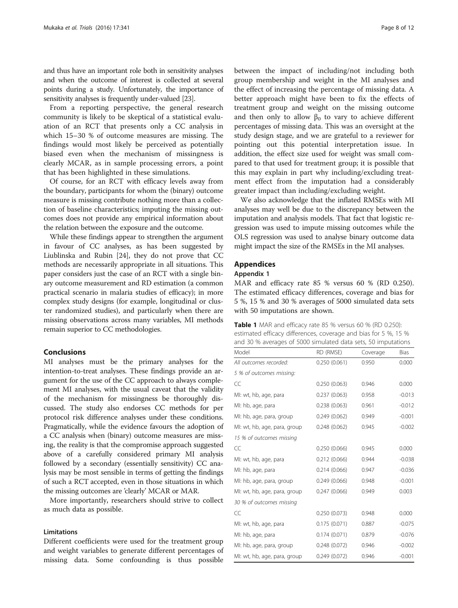<span id="page-7-0"></span>and thus have an important role both in sensitivity analyses and when the outcome of interest is collected at several points during a study. Unfortunately, the importance of sensitivity analyses is frequently under-valued [[23](#page-11-0)].

From a reporting perspective, the general research community is likely to be skeptical of a statistical evaluation of an RCT that presents only a CC analysis in which 15–30 % of outcome measures are missing. The findings would most likely be perceived as potentially biased even when the mechanism of missingness is clearly MCAR, as in sample processing errors, a point that has been highlighted in these simulations.

Of course, for an RCT with efficacy levels away from the boundary, participants for whom the (binary) outcome measure is missing contribute nothing more than a collection of baseline characteristics; imputing the missing outcomes does not provide any empirical information about the relation between the exposure and the outcome.

While these findings appear to strengthen the argument in favour of CC analyses, as has been suggested by Liublinska and Rubin [\[24](#page-11-0)], they do not prove that CC methods are necessarily appropriate in all situations. This paper considers just the case of an RCT with a single binary outcome measurement and RD estimation (a common practical scenario in malaria studies of efficacy); in more complex study designs (for example, longitudinal or cluster randomized studies), and particularly when there are missing observations across many variables, MI methods remain superior to CC methodologies.

#### **Conclusions**

MI analyses must be the primary analyses for the intention-to-treat analyses. These findings provide an argument for the use of the CC approach to always complement MI analyses, with the usual caveat that the validity of the mechanism for missingness be thoroughly discussed. The study also endorses CC methods for per protocol risk difference analyses under these conditions. Pragmatically, while the evidence favours the adoption of a CC analysis when (binary) outcome measures are missing, the reality is that the compromise approach suggested above of a carefully considered primary MI analysis followed by a secondary (essentially sensitivity) CC analysis may be most sensible in terms of getting the findings of such a RCT accepted, even in those situations in which the missing outcomes are 'clearly' MCAR or MAR.

More importantly, researchers should strive to collect as much data as possible.

#### Limitations

Different coefficients were used for the treatment group and weight variables to generate different percentages of missing data. Some confounding is thus possible between the impact of including/not including both group membership and weight in the MI analyses and the effect of increasing the percentage of missing data. A better approach might have been to fix the effects of treatment group and weight on the missing outcome and then only to allow  $\beta_0$  to vary to achieve different percentages of missing data. This was an oversight at the study design stage, and we are grateful to a reviewer for pointing out this potential interpretation issue. In addition, the effect size used for weight was small compared to that used for treatment group; it is possible that this may explain in part why including/excluding treatment effect from the imputation had a considerably greater impact than including/excluding weight.

We also acknowledge that the inflated RMSEs with MI analyses may well be due to the discrepancy between the imputation and analysis models. That fact that logistic regression was used to impute missing outcomes while the OLS regression was used to analyse binary outcome data might impact the size of the RMSEs in the MI analyses.

## Appendices

#### Appendix 1

MAR and efficacy rate 85 % versus 60 % (RD 0.250). The estimated efficacy differences, coverage and bias for 5 %, 15 % and 30 % averages of 5000 simulated data sets with 50 imputations are shown.

| <b>Table 1</b> MAR and efficacy rate 85 % versus 60 % (RD 0.250): |
|-------------------------------------------------------------------|
| estimated efficacy differences, coverage and bias for 5 %, 15 %   |
| and 30 % averages of 5000 simulated data sets, 50 imputations     |

| RD (RMSE)    | Coverage | <b>Bias</b> |
|--------------|----------|-------------|
| 0.250(0.061) | 0.950    | 0.000       |
|              |          |             |
| 0.250(0.063) | 0.946    | 0.000       |
| 0.237(0.063) | 0.958    | $-0.013$    |
| 0.238(0.063) | 0.961    | $-0.012$    |
| 0.249(0.062) | 0.949    | $-0.001$    |
| 0.248(0.062) | 0.945    | $-0.002$    |
|              |          |             |
| 0.250(0.066) | 0.945    | 0.000       |
| 0.212(0.066) | 0.944    | $-0.038$    |
| 0.214(0.066) | 0.947    | $-0.036$    |
| 0.249(0.066) | 0.948    | $-0.001$    |
| 0.247(0.066) | 0.949    | 0.003       |
|              |          |             |
| 0.250(0.073) | 0.948    | 0.000       |
| 0.175(0.071) | 0.887    | $-0.075$    |
| 0.174(0.071) | 0.879    | $-0.076$    |
| 0.248(0.072) | 0.946    | $-0.002$    |
| 0.249(0.072) | 0.946    | $-0.001$    |
|              |          |             |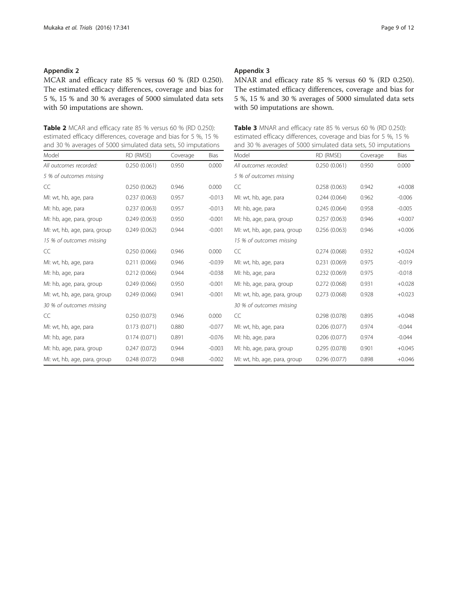## <span id="page-8-0"></span>Appendix 2

MCAR and efficacy rate 85 % versus 60 % (RD 0.250). The estimated efficacy differences, coverage and bias for 5 %, 15 % and 30 % averages of 5000 simulated data sets with 50 imputations are shown.

Table 2 MCAR and efficacy rate 85 % versus 60 % (RD 0.250): estimated efficacy differences, coverage and bias for 5 %, 15 % and 30 % averages of 5000 simulated data sets, 50 imputations

| Model                        | RD (RMSE)    | Coverage | Bias     |
|------------------------------|--------------|----------|----------|
| All outcomes recorded:       | 0.250(0.061) | 0.950    | 0.000    |
| 5 % of outcomes missing      |              |          |          |
| CC                           | 0.250(0.062) | 0.946    | 0.000    |
| MI: wt, hb, age, para        | 0.237(0.063) | 0.957    | $-0.013$ |
| MI: hb, age, para            | 0.237(0.063) | 0.957    | $-0.013$ |
| MI: hb, age, para, group     | 0.249(0.063) | 0.950    | $-0.001$ |
| MI: wt, hb, age, para, group | 0.249(0.062) | 0.944    | $-0.001$ |
| 15 % of outcomes missing     |              |          |          |
| CC                           | 0.250(0.066) | 0.946    | 0.000    |
| MI: wt, hb, age, para        | 0.211(0.066) | 0.946    | $-0.039$ |
| MI: hb, age, para            | 0.212(0.066) | 0.944    | $-0.038$ |
| MI: hb, age, para, group     | 0.249(0.066) | 0.950    | $-0.001$ |
| MI: wt, hb, age, para, group | 0.249(0.066) | 0.941    | $-0.001$ |
| 30 % of outcomes missing     |              |          |          |
| CC                           | 0.250(0.073) | 0.946    | 0.000    |
| MI: wt, hb, age, para        | 0.173(0.071) | 0.880    | $-0.077$ |
| MI: hb, age, para            | 0.174(0.071) | 0.891    | $-0.076$ |
| MI: hb, age, para, group     | 0.247(0.072) | 0.944    | $-0.003$ |
| MI: wt, hb, age, para, group | 0.248(0.072) | 0.948    | $-0.002$ |

## Appendix 3

MNAR and efficacy rate 85 % versus 60 % (RD 0.250). The estimated efficacy differences, coverage and bias for 5 %, 15 % and 30 % averages of 5000 simulated data sets with 50 imputations are shown.

| Table 3 MNAR and efficacy rate 85 % versus 60 % (RD 0.250):     |
|-----------------------------------------------------------------|
| estimated efficacy differences, coverage and bias for 5 %, 15 % |
| and 30 % averages of 5000 simulated data sets, 50 imputations   |

| Model                        | RD (RMSE)    | Coverage | <b>Bias</b> |
|------------------------------|--------------|----------|-------------|
| All outcomes recorded:       | 0.250(0.061) | 0.950    | 0.000       |
| 5 % of outcomes missing      |              |          |             |
| CC                           | 0.258(0.063) | 0.942    | $+0.008$    |
| MI: wt, hb, age, para        | 0.244(0.064) | 0.962    | $-0.006$    |
| MI: hb, age, para            | 0.245(0.064) | 0.958    | $-0.005$    |
| MI: hb, age, para, group     | 0.257(0.063) | 0.946    | $+0.007$    |
| MI: wt, hb, age, para, group | 0.256(0.063) | 0.946    | $+0.006$    |
| 15 % of outcomes missing     |              |          |             |
| CC                           | 0.274(0.068) | 0.932    | $+0.024$    |
| MI: wt, hb, age, para        | 0.231(0.069) | 0.975    | $-0.019$    |
| MI: hb, age, para            | 0.232(0.069) | 0.975    | $-0.018$    |
| MI: hb, age, para, group     | 0.272(0.068) | 0.931    | $+0.028$    |
| MI: wt, hb, age, para, group | 0.273(0.068) | 0.928    | $+0.023$    |
| 30 % of outcomes missing     |              |          |             |
| CC                           | 0.298(0.078) | 0.895    | $+0.048$    |
| MI: wt, hb, age, para        | 0.206(0.077) | 0.974    | $-0.044$    |
| MI: hb, age, para            | 0.206(0.077) | 0.974    | $-0.044$    |
| MI: hb, age, para, group     | 0.295(0.078) | 0.901    | $+0.045$    |
| MI: wt, hb, age, para, group | 0.296(0.077) | 0.898    | $+0.046$    |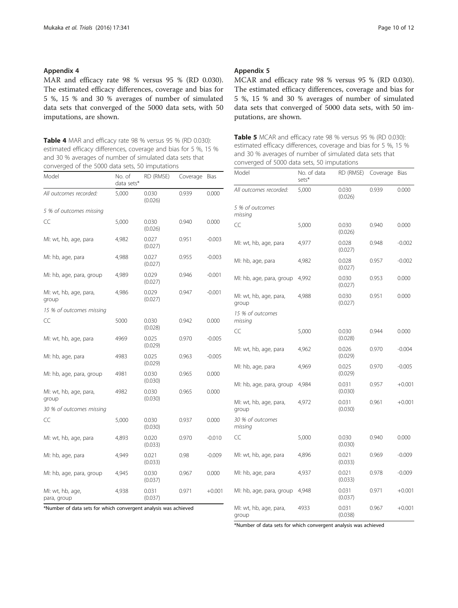## <span id="page-9-0"></span>Appendix 4

MAR and efficacy rate 98 % versus 95 % (RD 0.030). The estimated efficacy differences, coverage and bias for 5 %, 15 % and 30 % averages of number of simulated data sets that converged of the 5000 data sets, with 50 imputations, are shown.

Table 4 MAR and efficacy rate 98 % versus 95 % (RD 0.030): estimated efficacy differences, coverage and bias for 5 %, 15 % and 30 % averages of number of simulated data sets that converged of the 5000 data sets, 50 imputations

| Model                           | No. of<br>data sets* | RD (RMSE)        | Coverage | Bias     |
|---------------------------------|----------------------|------------------|----------|----------|
| All outcomes recorded:          | 5,000                | 0.030<br>(0.026) | 0.939    | 0.000    |
| 5 % of outcomes missing         |                      |                  |          |          |
| CC                              | 5,000                | 0.030<br>(0.026) | 0.940    | 0.000    |
| MI: wt, hb, age, para           | 4,982                | 0.027<br>(0.027) | 0.951    | $-0.003$ |
| MI: hb, age, para               | 4,988                | 0.027<br>(0.027) | 0.955    | $-0.003$ |
| MI: hb, age, para, group        | 4,989                | 0.029<br>(0.027) | 0.946    | $-0.001$ |
| MI: wt, hb, age, para,<br>group | 4,986                | 0.029<br>(0.027) | 0.947    | $-0.001$ |
| 15 % of outcomes missing        |                      |                  |          |          |
| CC                              | 5000                 | 0.030<br>(0.028) | 0.942    | 0.000    |
| MI: wt, hb, age, para           | 4969                 | 0.025<br>(0.029) | 0.970    | $-0.005$ |
| MI: hb, age, para               | 4983                 | 0.025<br>(0.029) | 0.963    | $-0.005$ |
| MI: hb, age, para, group        | 4981                 | 0.030<br>(0.030) | 0.965    | 0.000    |
| MI: wt, hb, age, para,<br>group | 4982                 | 0.030<br>(0.030) | 0.965    | 0.000    |
| 30 % of outcomes missing        |                      |                  |          |          |
| CC                              | 5,000                | 0.030<br>(0.030) | 0.937    | 0.000    |
| MI: wt, hb, age, para           | 4,893                | 0.020<br>(0.033) | 0.970    | $-0.010$ |
| MI: hb, age, para               | 4,949                | 0.021<br>(0.033) | 0.98     | $-0.009$ |
| MI: hb, age, para, group        | 4,945                | 0.030<br>(0.037) | 0.967    | 0.000    |
| MI: wt, hb, age,<br>para, group | 4,938                | 0.031<br>(0.037) | 0.971    | $+0.001$ |

## Appendix 5

MCAR and efficacy rate 98 % versus 95 % (RD 0.030). The estimated efficacy differences, coverage and bias for 5 %, 15 % and 30 % averages of number of simulated data sets that converged of 5000 data sets, with 50 imputations, are shown.

| <b>Table 5</b> MCAR and efficacy rate 98 % versus 95 % (RD 0.030): |
|--------------------------------------------------------------------|
| estimated efficacy differences, coverage and bias for 5 %, 15 %    |
| and 30 % averages of number of simulated data sets that            |
| converged of 5000 data sets, 50 imputations                        |

| Model                           | No. of data<br>sets* | RD (RMSE)        | Coverage | Bias     |
|---------------------------------|----------------------|------------------|----------|----------|
| All outcomes recorded:          | 5,000                | 0.030<br>(0.026) | 0.939    | 0.000    |
| 5 % of outcomes<br>missing      |                      |                  |          |          |
| CC                              | 5,000                | 0.030<br>(0.026) | 0.940    | 0.000    |
| MI: wt, hb, age, para           | 4,977                | 0.028<br>(0.027) | 0.948    | $-0.002$ |
| MI: hb, age, para               | 4,982                | 0.028<br>(0.027) | 0.957    | $-0.002$ |
| MI: hb, age, para, group        | 4,992                | 0.030<br>(0.027) | 0.953    | 0.000    |
| MI: wt, hb, age, para,<br>group | 4,988                | 0.030<br>(0.027) | 0.951    | 0.000    |
| 15 % of outcomes<br>missing     |                      |                  |          |          |
| CC                              | 5,000                | 0.030<br>(0.028) | 0.944    | 0.000    |
| MI: wt, hb, age, para           | 4,962                | 0.026<br>(0.029) | 0.970    | $-0.004$ |
| MI: hb, age, para               | 4,969                | 0.025<br>(0.029) | 0.970    | $-0.005$ |
| MI: hb, age, para, group        | 4,984                | 0.031<br>(0.030) | 0.957    | $+0.001$ |
| MI: wt, hb, age, para,<br>group | 4,972                | 0.031<br>(0.030) | 0.961    | $+0.001$ |
| 30 % of outcomes<br>missing     |                      |                  |          |          |
| CC                              | 5,000                | 0.030<br>(0.030) | 0.940    | 0.000    |
| MI: wt, hb, age, para           | 4,896                | 0.021<br>(0.033) | 0.969    | $-0.009$ |
| MI: hb, age, para               | 4,937                | 0.021<br>(0.033) | 0.978    | -0.009   |
| MI: hb, age, para, group        | 4,948                | 0.031<br>(0.037) | 0.971    | $+0.001$ |
| MI: wt, hb, age, para,<br>group | 4933                 | 0.031<br>(0.038) | 0.967    | $+0.001$ |

\*Number of data sets for which convergent analysis was achieved

\*Number of data sets for which convergent analysis was achieved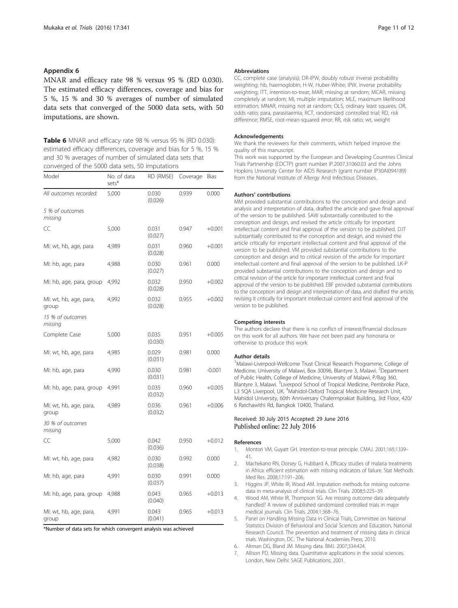## <span id="page-10-0"></span>Appendix 6

MNAR and efficacy rate 98 % versus 95 % (RD 0.030). The estimated efficacy differences, coverage and bias for 5 %, 15 % and 30 % averages of number of simulated data sets that converged of the 5000 data sets, with 50 imputations, are shown.

Table 6 MNAR and efficacy rate 98 % versus 95 % (RD 0.030): estimated efficacy differences, coverage and bias for 5 %, 15 % and 30 % averages of number of simulated data sets that converged of the 5000 data sets, 50 imputations

| Model                           | No. of data<br>sets* | RD (RMSE)        | Coverage | <b>Bias</b> |
|---------------------------------|----------------------|------------------|----------|-------------|
| All outcomes recorded:          | 5,000                | 0.030<br>(0.026) | 0.939    | 0.000       |
| 5 % of outcomes<br>missing      |                      |                  |          |             |
| CC                              | 5,000                | 0.031<br>(0.027) | 0.947    | $+0.001$    |
| MI: wt, hb, age, para           | 4,989                | 0.031<br>(0.028) | 0.960    | $+0.001$    |
| MI: hb, age, para               | 4,988                | 0.030<br>(0.027) | 0.961    | 0.000       |
| MI: hb, age, para, group        | 4,992                | 0.032<br>(0.028) | 0.950    | $+0.002$    |
| MI: wt, hb, age, para,<br>group | 4,992                | 0.032<br>(0.028) | 0.955    | $+0.002$    |
| 15 % of outcomes<br>missing     |                      |                  |          |             |
| Complete Case                   | 5,000                | 0.035<br>(0.030) | 0.951    | $+0.005$    |
| MI: wt, hb, age, para           | 4,985                | 0.029<br>(0.031) | 0.981    | 0.000       |
| MI: hb, age, para               | 4,990                | 0.030<br>(0.031) | 0.981    | $-0.001$    |
| MI: hb, age, para, group        | 4,991                | 0.035<br>(0.032) | 0.960    | $+0.005$    |
| MI: wt, hb, age, para,<br>group | 4,989                | 0.036<br>(0.032) | 0.961    | $+0.006$    |
| 30 % of outcomes<br>missing     |                      |                  |          |             |
| CC                              | 5,000                | 0.042<br>(0.036) | 0.950    | $+0.012$    |
| MI: wt, hb, age, para           | 4,982                | 0.030<br>(0.038) | 0.992    | 0.000       |
| MI: hb, age, para               | 4,991                | 0.030<br>(0.037) | 0.991    | 0.000       |
| MI: hb, age, para, group        | 4,988                | 0.043<br>(0.040) | 0.965    | $+0.013$    |
| MI: wt, hb, age, para,<br>group | 4,991                | 0.043<br>(0.041) | 0.965    | $+0.013$    |

\*Number of data sets for which convergent analysis was achieved

#### Abbreviations

CC, complete case (analysis); DR-IPW, doubly robust inverse probability weighting; hb, haemoglobin; H-W, Huber-White; IPW, inverse probability weighting; ITT, intention-to-treat; MAR, missing at random; MCAR, missing completely at random; MI, multiple imputation; MLE, maximum likelihood estimation; MNAR, missing not at random; OLS, ordinary least squares; OR, odds ratio; para, parasitaemia; RCT, randomized controlled trial; RD, risk difference; RMSE, root-mean-squared error; RR, risk ratio; wt, weight

#### Acknowledgements

We thank the reviewers for their comments, which helped improve the quality of this manuscript.

This work was supported by the European and Developing Countries Clinical Trials Partnership (EDCTP) grant number IP.2007.31060.03 and the Johns Hopkins University Center for AIDS Research (grant number IP30AI094189) from the National Institute of Allergy And Infectious Diseases.

#### Authors' contributions

MM provided substantial contributions to the conception and design and analysis and interpretation of data, drafted the article and gave final approval of the version to be published. SAW substantially contributed to the conception and design, and revised the article critically for important intellectual content and final approval of the version to be published. DJT substantially contributed to the conception and design, and revised the article critically for important intellectual content and final approval of the version to be published. VM provided substantial contributions to the conception and design and to critical revision of the article for important intellectual content and final approval of the version to be published. LK-P provided substantial contributions to the conception and design and to critical revision of the article for important intellectual content and final approval of the version to be published. EBF provided substantial contributions to the conception and design and interpretation of data, and drafted the article, revising it critically for important intellectual content and final approval of the version to be published.

#### Competing interests

The authors declare that there is no conflict of interest/financial disclosure on this work for all authors. We have not been paid any honoraria or otherwise to produce this work.

#### Author details

<sup>1</sup>Malawi-Liverpool-Wellcome Trust Clinical Research Programme, College of Medicine, University of Malawi, Box 30096, Blantyre 3, Malawi. <sup>2</sup>Department of Public Health, College of Medicine, University of Malawi, P/Bag 360, Blantyre 3, Malawi. <sup>3</sup> Liverpool School of Tropical Medicine, Pembroke Place L3 5QA Liverpool, UK. <sup>4</sup>Mahidol-Oxford Tropical Medicine Research Unit Mahidol University, 60th Anniversary Chalermprakiat Building, 3rd Floor, 420/ 6 Ratchawithi Rd, Bangkok 10400, Thailand.

#### Received: 30 July 2015 Accepted: 29 June 2016 Published online: 22 July 2016

#### References

- 1. Montori VM, Guyatt GH. Intention-to-treat principle. CMAJ. 2001;165:1339-41.
- 2. Machekano RN, Dorsey G, Hubbard A. Efficacy studies of malaria treatments in Africa: efficient estimation with missing indicators of failure. Stat Methods Med Res. 2008;17:191–206.
- 3. Higgins JP, White IR, Wood AM. Imputation methods for missing outcome data in meta-analysis of clinical trials. Clin Trials. 2008;5:225–39.
- Wood AM, White IR, Thompson SG. Are missing outcome data adequately handled? A review of published randomized controlled trials in major medical journals. Clin Trials. 2004;1:368–76.
- 5. Panel on Handling Missing Data in Clinical Trials, Committee on National Statistics Division of Behavioral and Social Sciences and Education, National Research Council. The prevention and treatment of missing data in clinical trials. Washington, DC: The National Academies Press; 2010.
- 6. Altman DG, Bland JM. Missing data. BMJ. 2007;334:424.
- 7. Allison PD. Missing data. Quantitative applications in the social sciences. London, New Delhi: SAGE Publications; 2001.